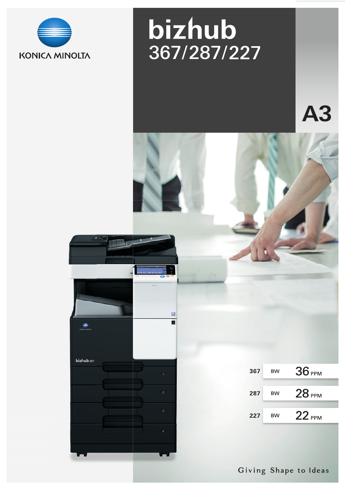

# bizhub 367/287/227

A3



Giving Shape to Ideas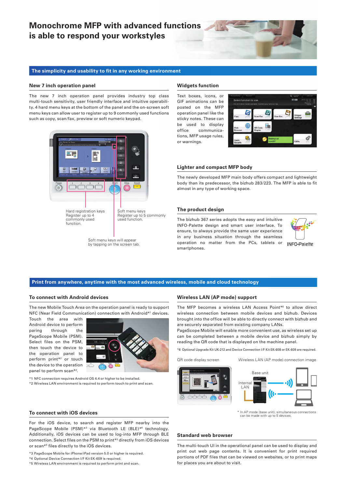## **Monochrome MFP with advanced functions is able to respond your workstyles**



#### **The simplicity and usability to fit in any working environment**

#### **New 7 inch operation panel**

The new 7 inch operation panel provides industry top class multi-touch sensitivity, user friendly interface and intuitive operability. 4 hard menu keys at the bottom of the panel and the on-screen soft menu keys can allow user to register up to 9 commonly used functions such as copy, scan/fax, preview or soft numeric keypad.



Soft menu keys will appear by tapping on the screen tab.

#### **Widgets function**

Text boxes, icons, or GIF animations can be posted on the MFP operation panel like the sticky notes. These can be used to display office communications, MFP usage rules, or warnings.



#### **Lighter and compact MFP body**

The newly developed MFP main body offers compact and lightweight body than its predecessor, the bizhub 283/223. The MFP is able to fit almost in any type of working space.

#### **The product design**

The bizhub 367 series adopts the easy and intuitive INFO-Palette design and smart user interface. To ensure, to always provide the same user experience in any business situation through the seamless operation no matter from the PCs, tablets or smartphones.



**INFO-Palelte** 

#### **Print from anywhere, anytime with the most advanced wireless, mobile and cloud technology**

#### **To connect with Android devices**

The new Mobile Touch Area on the operation panel is ready to support NFC (Near Field Communication) connection with Android\*1 devices.

Touch the area with Android device to perform paring through the PageScope Mobile (PSM). Select files on the PSM, then touch the device to the operation panel to perform print\*2 or touch the device to the operation panel to perform scan\*2 .



\*1 NFC connection requires Android OS 4.4 or higher to be installed. \*2 Wireless LAN environment is required to perform touch to print and scan.

#### **Wireless LAN (AP mode) support**

The MFP becomes a wireless LAN Access Point\*6 to allow direct wireless connection between mobile devices and bizhub. Devices brought into the office will be able to directly connect with bizhub and are securely separated from existing company LANs.

PageScope Mobile will enable more convenient use, as wireless set up can be completed between a mobile device and bizhub simply by reading the QR code that is displayed on the machine panel.

\*6 Optional Upgrade Kit UK-212 and Device Connection I/F Kit EK-608 or EK-609 are required.

QR code display screen Wireless LAN (AP mode) connection image





can be made with up to 5 devices.

#### **Standard web browser**

The multi-touch UI in the operational panel can be used to display and print out web page contents. It is convenient for print required portions of PDF files that can be viewed on websites, or to print maps for places you are about to visit.

#### **To connect with iOS devices**

For the iOS device, to search and register MFP nearby into the PageScope Mobile (PSM)<sup>\*3</sup> via Bluetooth LE (BLE)<sup>\*4</sup> technology. Additionally, iOS devices can be used to log-into MFP through BLE connection. Select files on the PSM to print\*5 directly from iOS devices or scan\*5 files directly to the iOS devices.

\*3 PageScope Mobile for iPhone/iPad version 5.0 or higher is required.

\*4 Optional Device Connection I/F Kit EK-609 is required.

\*5 Wireless LAN environment is required to perform print and scan.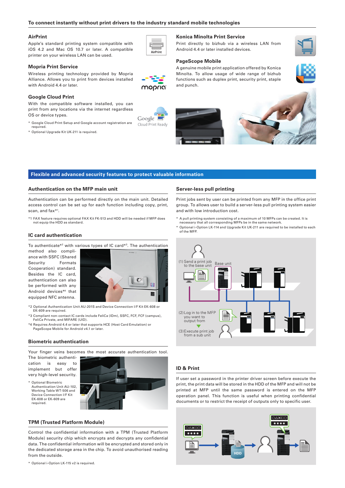#### **To connect instantly without print drivers to the industry standard mobile technologies**

#### **AirPrint**

Apple's standard printing system compatible with iOS 4.2 and Mac OS 10.7 or later. A compatible printer on your wireless LAN can be used.

### **Mopria Print Service**

Wireless printing technology provided by Mopria Alliance. Allows you to print from devices installed with Android 4.4 or later.



With the compatible software installed, you can print from any locations via the internet regardless OS or device types.

- \* Google Cloud Print Setup and Google account registration are required.
- \* Optional Upgrade Kit UK-211 is required.



mopria

г

Google<sup>-</sup> Cloud Print Ready

#### **Konica Minolta Print Service**

Print directly to bizhub via a wireless LAN from Android 4.4 or later installed devices.

#### **PageScope Mobile**

A genuine mobile print application offered by Konica Minolta. To allow usage of wide range of bizhub functions such as duplex print, security print, staple and punch.







#### **Flexible and advanced security features to protect valuable information**

#### **Authentication on the MFP main unit**

Authentication can be performed directly on the main unit. Detailed access control can be set up for each function including copy, print, scan, and fax\*1 .

\*1 FAX feature requires optional FAX Kit FK-513 and HDD will be needed if MFP does not equip the HDD as standard.

#### **IC card authentication**

To authenticate<sup>\*2</sup> with various types of IC card<sup>\*3</sup>. The authentication

method also compliance with SSFC (Shared Security Formats Cooperation) standard. Besides the IC card, authentication can also be performed with any Android devices\*4 that equipped NFC antenna.



- \*2 Optional Authentication Unit AU-201S and Device Connection I/F Kit EK-608 or EK-609 are required.
- \*3 Compliant non-contact IC cards include FeliCa (IDm), SSFC, FCF, FCF (campus), FeliCa Private, and MIFARE (UID).
- \*4 Requires Android 4.4 or later that supports HCE (Host Card Emulation) or PageScope Mobile for Android v4.1 or later.

#### **Biometric authentication**

Your finger veins becomes the most accurate authentication tool.

The biometric authentication is easy to implement but offer very high-level security.

\* Optional Biometric Authentication Unit AU-102, Working Table WT-506 and Device Connection I/F Kit EK-608 or EK-609 are required.



#### **TPM (Trusted Platform Module)**

Control the confidential information with a TPM (Trusted Platform Module) security chip which encrypts and decrypts any confidential data. The confidential information will be encrypted and stored only in the dedicated storage area in the chip. To avoid unauthorised reading from the outside.

\* Optional i-Option LK-115 v2 is required.

#### **Server-less pull printing**

Print jobs sent by user can be printed from any MFP in the office print group. To allows user to build a server-less pull printing system easier and with low introduction cost.

- \* A pull printing system consisting of a maximum of 10 MFPs can be created. It is necessary that all corresponding MFPs be in the same network.
- \* Optional i-Option LK-114 and Upgrade Kit UK-211 are required to be installed to each of the MFP.



#### **ID & Print**

If user set a password in the printer driver screen before execute the print, the print data will be stored in the HDD of the MFP and will not be printed at MFP until the same password is entered on the MFP operation panel. This function is useful when printing confidential documents or to restrict the receipt of outputs only to specific user.